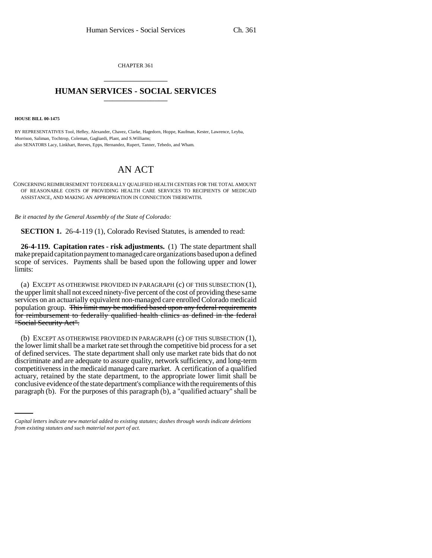CHAPTER 361 \_\_\_\_\_\_\_\_\_\_\_\_\_\_\_

## **HUMAN SERVICES - SOCIAL SERVICES** \_\_\_\_\_\_\_\_\_\_\_\_\_\_\_

**HOUSE BILL 00-1475** 

BY REPRESENTATIVES Tool, Hefley, Alexander, Chavez, Clarke, Hagedorn, Hoppe, Kaufman, Kester, Lawrence, Leyba, Morrison, Saliman, Tochtrop, Coleman, Gagliardi, Plant, and S.Williams; also SENATORS Lacy, Linkhart, Reeves, Epps, Hernandez, Rupert, Tanner, Tebedo, and Wham.

## AN ACT

CONCERNING REIMBURSEMENT TO FEDERALLY QUALIFIED HEALTH CENTERS FOR THE TOTAL AMOUNT OF REASONABLE COSTS OF PROVIDING HEALTH CARE SERVICES TO RECIPIENTS OF MEDICAID ASSISTANCE, AND MAKING AN APPROPRIATION IN CONNECTION THEREWITH.

*Be it enacted by the General Assembly of the State of Colorado:*

**SECTION 1.** 26-4-119 (1), Colorado Revised Statutes, is amended to read:

**26-4-119. Capitation rates - risk adjustments.** (1) The state department shall make prepaid capitation payment to managed care organizations based upon a defined scope of services. Payments shall be based upon the following upper and lower limits:

(a) EXCEPT AS OTHERWISE PROVIDED IN PARAGRAPH (c) OF THIS SUBSECTION (1), the upper limit shall not exceed ninety-five percent of the cost of providing these same services on an actuarially equivalent non-managed care enrolled Colorado medicaid population group. This limit may be modified based upon any federal requirements for reimbursement to federally qualified health clinics as defined in the federal "Social Security Act".

actuary, retained by the state department, to the appropriate lower limit shall be (b) EXCEPT AS OTHERWISE PROVIDED IN PARAGRAPH (c) OF THIS SUBSECTION (1), the lower limit shall be a market rate set through the competitive bid process for a set of defined services. The state department shall only use market rate bids that do not discriminate and are adequate to assure quality, network sufficiency, and long-term competitiveness in the medicaid managed care market. A certification of a qualified conclusive evidence of the state department's compliance with the requirements of this paragraph (b). For the purposes of this paragraph (b), a "qualified actuary" shall be

*Capital letters indicate new material added to existing statutes; dashes through words indicate deletions from existing statutes and such material not part of act.*